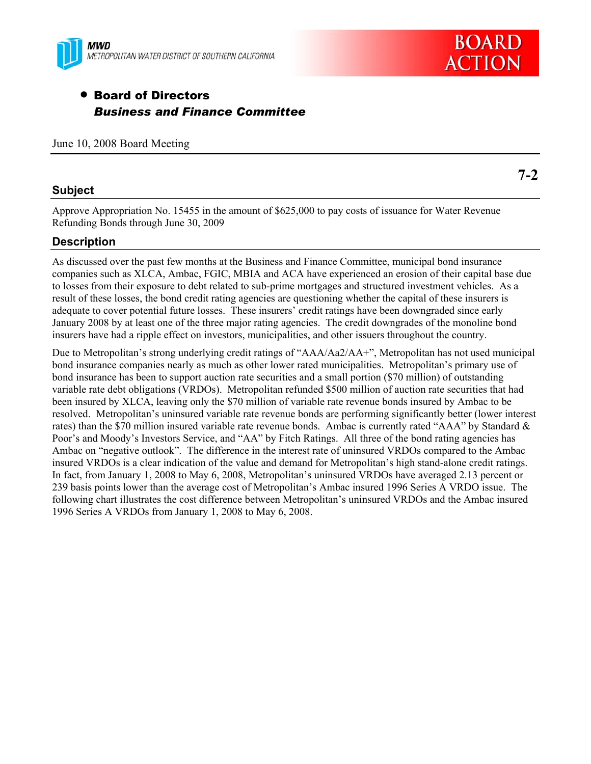



# • Board of Directors *Business and Finance Committee*

June 10, 2008 Board Meeting

### **Subject**

**7-2** 

Approve Appropriation No. 15455 in the amount of \$625,000 to pay costs of issuance for Water Revenue Refunding Bonds through June 30, 2009

# **Description**

As discussed over the past few months at the Business and Finance Committee, municipal bond insurance companies such as XLCA, Ambac, FGIC, MBIA and ACA have experienced an erosion of their capital base due to losses from their exposure to debt related to sub-prime mortgages and structured investment vehicles. As a result of these losses, the bond credit rating agencies are questioning whether the capital of these insurers is adequate to cover potential future losses. These insurers' credit ratings have been downgraded since early January 2008 by at least one of the three major rating agencies. The credit downgrades of the monoline bond insurers have had a ripple effect on investors, municipalities, and other issuers throughout the country.

Due to Metropolitan's strong underlying credit ratings of "AAA/Aa2/AA+", Metropolitan has not used municipal bond insurance companies nearly as much as other lower rated municipalities. Metropolitan's primary use of bond insurance has been to support auction rate securities and a small portion (\$70 million) of outstanding variable rate debt obligations (VRDOs). Metropolitan refunded \$500 million of auction rate securities that had been insured by XLCA, leaving only the \$70 million of variable rate revenue bonds insured by Ambac to be resolved. Metropolitan's uninsured variable rate revenue bonds are performing significantly better (lower interest rates) than the \$70 million insured variable rate revenue bonds. Ambac is currently rated "AAA" by Standard & Poor's and Moody's Investors Service, and "AA" by Fitch Ratings. All three of the bond rating agencies has Ambac on "negative outlook". The difference in the interest rate of uninsured VRDOs compared to the Ambac insured VRDOs is a clear indication of the value and demand for Metropolitan's high stand-alone credit ratings. In fact, from January 1, 2008 to May 6, 2008, Metropolitan's uninsured VRDOs have averaged 2.13 percent or 239 basis points lower than the average cost of Metropolitan's Ambac insured 1996 Series A VRDO issue. The following chart illustrates the cost difference between Metropolitan's uninsured VRDOs and the Ambac insured 1996 Series A VRDOs from January 1, 2008 to May 6, 2008.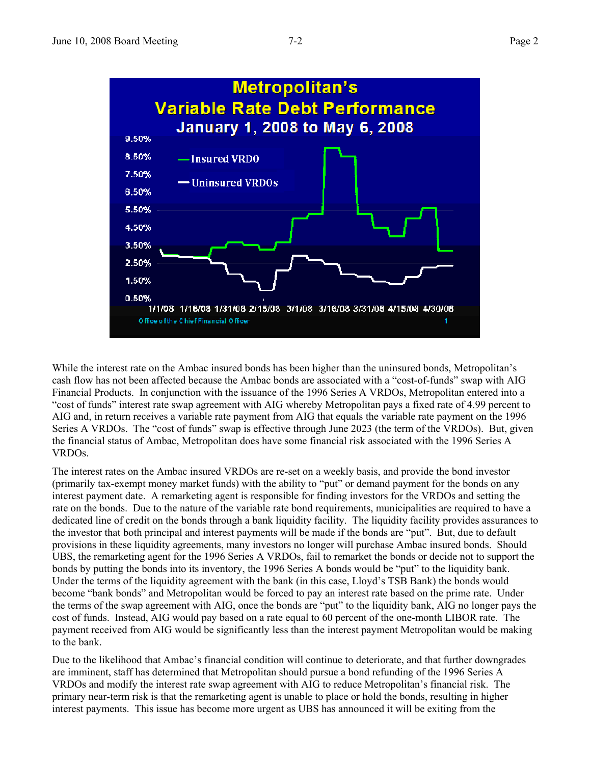

While the interest rate on the Ambac insured bonds has been higher than the uninsured bonds, Metropolitan's cash flow has not been affected because the Ambac bonds are associated with a "cost-of-funds" swap with AIG Financial Products. In conjunction with the issuance of the 1996 Series A VRDOs, Metropolitan entered into a "cost of funds" interest rate swap agreement with AIG whereby Metropolitan pays a fixed rate of 4.99 percent to AIG and, in return receives a variable rate payment from AIG that equals the variable rate payment on the 1996 Series A VRDOs. The "cost of funds" swap is effective through June 2023 (the term of the VRDOs). But, given the financial status of Ambac, Metropolitan does have some financial risk associated with the 1996 Series A VRDOs.

The interest rates on the Ambac insured VRDOs are re-set on a weekly basis, and provide the bond investor (primarily tax-exempt money market funds) with the ability to "put" or demand payment for the bonds on any interest payment date. A remarketing agent is responsible for finding investors for the VRDOs and setting the rate on the bonds. Due to the nature of the variable rate bond requirements, municipalities are required to have a dedicated line of credit on the bonds through a bank liquidity facility. The liquidity facility provides assurances to the investor that both principal and interest payments will be made if the bonds are "put". But, due to default provisions in these liquidity agreements, many investors no longer will purchase Ambac insured bonds. Should UBS, the remarketing agent for the 1996 Series A VRDOs, fail to remarket the bonds or decide not to support the bonds by putting the bonds into its inventory, the 1996 Series A bonds would be "put" to the liquidity bank. Under the terms of the liquidity agreement with the bank (in this case, Lloyd's TSB Bank) the bonds would become "bank bonds" and Metropolitan would be forced to pay an interest rate based on the prime rate. Under the terms of the swap agreement with AIG, once the bonds are "put" to the liquidity bank, AIG no longer pays the cost of funds. Instead, AIG would pay based on a rate equal to 60 percent of the one-month LIBOR rate. The payment received from AIG would be significantly less than the interest payment Metropolitan would be making to the bank.

Due to the likelihood that Ambac's financial condition will continue to deteriorate, and that further downgrades are imminent, staff has determined that Metropolitan should pursue a bond refunding of the 1996 Series A VRDOs and modify the interest rate swap agreement with AIG to reduce Metropolitan's financial risk. The primary near-term risk is that the remarketing agent is unable to place or hold the bonds, resulting in higher interest payments. This issue has become more urgent as UBS has announced it will be exiting from the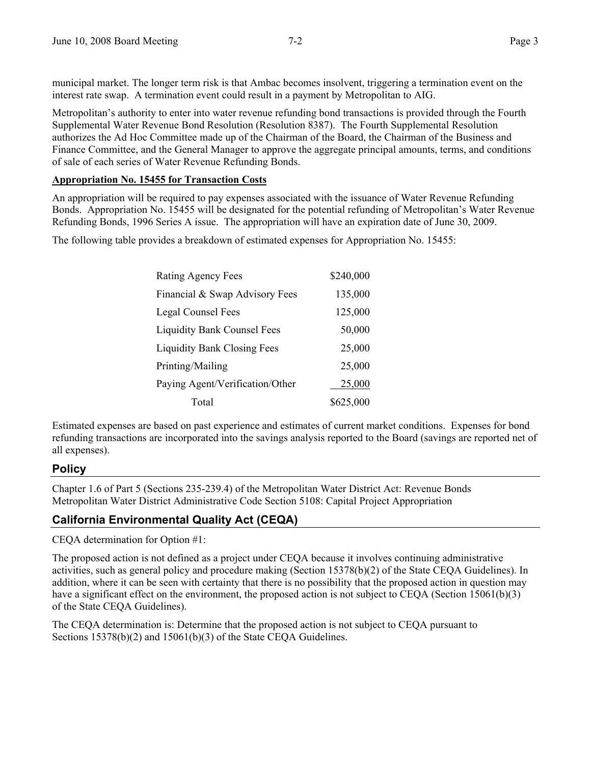municipal market. The longer term risk is that Ambac becomes insolvent, triggering a termination event on the interest rate swap. A termination event could result in a payment by Metropolitan to AIG.

Metropolitan's authority to enter into water revenue refunding bond transactions is provided through the Fourth Supplemental Water Revenue Bond Resolution (Resolution 8387). The Fourth Supplemental Resolution authorizes the Ad Hoc Committee made up of the Chairman of the Board, the Chairman of the Business and Finance Committee, and the General Manager to approve the aggregate principal amounts, terms, and conditions of sale of each series of Water Revenue Refunding Bonds.

### **Appropriation No. 15455 for Transaction Costs**

An appropriation will be required to pay expenses associated with the issuance of Water Revenue Refunding Bonds. Appropriation No. 15455 will be designated for the potential refunding of Metropolitan's Water Revenue Refunding Bonds, 1996 Series A issue. The appropriation will have an expiration date of June 30, 2009.

The following table provides a breakdown of estimated expenses for Appropriation No. 15455:

| Rating Agency Fees                 | \$240,000 |
|------------------------------------|-----------|
| Financial & Swap Advisory Fees     | 135,000   |
| Legal Counsel Fees                 | 125,000   |
| <b>Liquidity Bank Counsel Fees</b> | 50,000    |
| <b>Liquidity Bank Closing Fees</b> | 25,000    |
| Printing/Mailing                   | 25,000    |
| Paying Agent/Verification/Other    | 25,000    |
| Total                              | \$625,000 |

Estimated expenses are based on past experience and estimates of current market conditions. Expenses for bond refunding transactions are incorporated into the savings analysis reported to the Board (savings are reported net of all expenses).

# **Policy**

Chapter 1.6 of Part 5 (Sections 235-239.4) of the Metropolitan Water District Act: Revenue Bonds Metropolitan Water District Administrative Code Section 5108: Capital Project Appropriation

# **California Environmental Quality Act (CEQA)**

CEQA determination for Option #1:

The proposed action is not defined as a project under CEQA because it involves continuing administrative activities, such as general policy and procedure making (Section 15378(b)(2) of the State CEQA Guidelines). In addition, where it can be seen with certainty that there is no possibility that the proposed action in question may have a significant effect on the environment, the proposed action is not subject to CEQA (Section 15061(b)(3) of the State CEQA Guidelines).

The CEQA determination is: Determine that the proposed action is not subject to CEQA pursuant to Sections  $15378(b)(2)$  and  $15061(b)(3)$  of the State CEQA Guidelines.